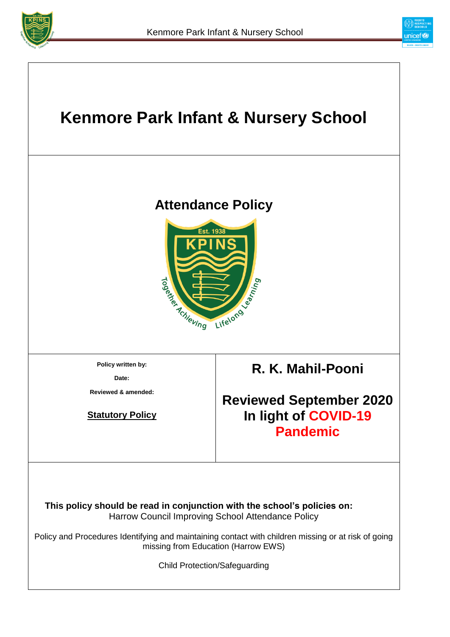



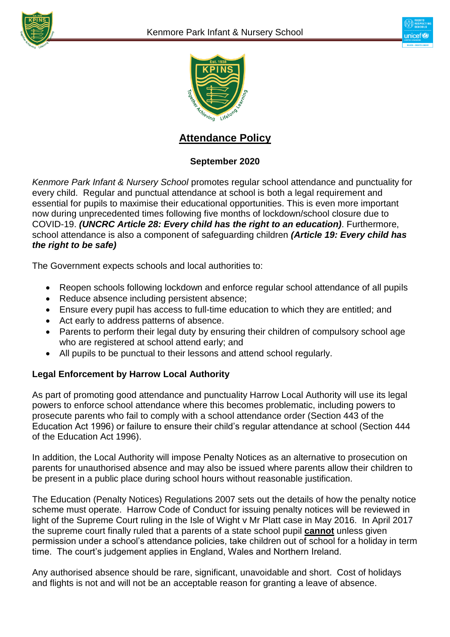





## **Attendance Policy**

### **September 2020**

*Kenmore Park Infant & Nursery School* promotes regular school attendance and punctuality for every child. Regular and punctual attendance at school is both a legal requirement and essential for pupils to maximise their educational opportunities. This is even more important now during unprecedented times following five months of lockdown/school closure due to COVID-19. *(UNCRC Article 28: Every child has the right to an education)*. Furthermore, school attendance is also a component of safeguarding children *(Article 19: Every child has the right to be safe)*

The Government expects schools and local authorities to:

- Reopen schools following lockdown and enforce regular school attendance of all pupils
- Reduce absence including persistent absence;
- Ensure every pupil has access to full-time education to which they are entitled; and
- Act early to address patterns of absence.
- Parents to perform their legal duty by ensuring their children of compulsory school age who are registered at school attend early; and
- All pupils to be punctual to their lessons and attend school regularly.

#### **Legal Enforcement by Harrow Local Authority**

As part of promoting good attendance and punctuality Harrow Local Authority will use its legal powers to enforce school attendance where this becomes problematic, including powers to prosecute parents who fail to comply with a school attendance order (Section 443 of the Education Act 1996) or failure to ensure their child's regular attendance at school (Section 444 of the Education Act 1996).

In addition, the Local Authority will impose Penalty Notices as an alternative to prosecution on parents for unauthorised absence and may also be issued where parents allow their children to be present in a public place during school hours without reasonable justification.

The Education (Penalty Notices) Regulations 2007 sets out the details of how the penalty notice scheme must operate. Harrow Code of Conduct for issuing penalty notices will be reviewed in light of the Supreme Court ruling in the Isle of Wight v Mr Platt case in May 2016. In April 2017 the supreme court finally ruled that a parents of a state school pupil **cannot** unless given permission under a school's attendance policies, take children out of school for a holiday in term time. The court's judgement applies in England, Wales and Northern Ireland.

Any authorised absence should be rare, significant, unavoidable and short. Cost of holidays and flights is not and will not be an acceptable reason for granting a leave of absence.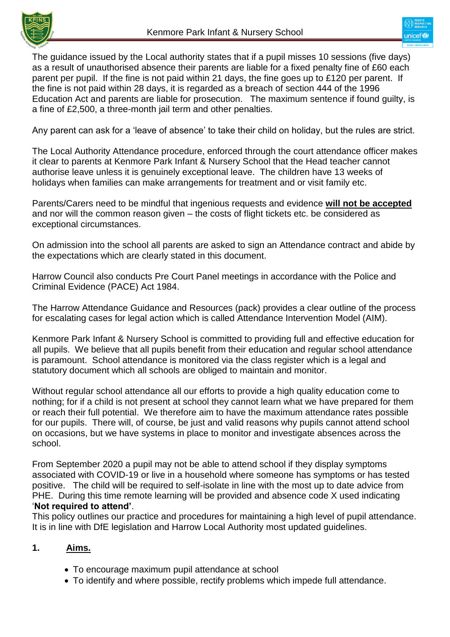



The guidance issued by the Local authority states that if a pupil misses 10 sessions (five days) as a result of unauthorised absence their parents are liable for a fixed penalty fine of £60 each parent per pupil. If the fine is not paid within 21 days, the fine goes up to £120 per parent. If the fine is not paid within 28 days, it is regarded as a breach of section 444 of the 1996 Education Act and parents are liable for prosecution. The maximum sentence if found guilty, is a fine of £2,500, a three-month jail term and other penalties.

Any parent can ask for a 'leave of absence' to take their child on holiday, but the rules are strict.

The Local Authority Attendance procedure, enforced through the court attendance officer makes it clear to parents at Kenmore Park Infant & Nursery School that the Head teacher cannot authorise leave unless it is genuinely exceptional leave. The children have 13 weeks of holidays when families can make arrangements for treatment and or visit family etc.

Parents/Carers need to be mindful that ingenious requests and evidence **will not be accepted** and nor will the common reason given – the costs of flight tickets etc. be considered as exceptional circumstances.

On admission into the school all parents are asked to sign an Attendance contract and abide by the expectations which are clearly stated in this document.

Harrow Council also conducts Pre Court Panel meetings in accordance with the Police and Criminal Evidence (PACE) Act 1984.

The Harrow Attendance Guidance and Resources (pack) provides a clear outline of the process for escalating cases for legal action which is called Attendance Intervention Model (AIM).

Kenmore Park Infant & Nursery School is committed to providing full and effective education for all pupils. We believe that all pupils benefit from their education and regular school attendance is paramount. School attendance is monitored via the class register which is a legal and statutory document which all schools are obliged to maintain and monitor.

Without regular school attendance all our efforts to provide a high quality education come to nothing; for if a child is not present at school they cannot learn what we have prepared for them or reach their full potential. We therefore aim to have the maximum attendance rates possible for our pupils. There will, of course, be just and valid reasons why pupils cannot attend school on occasions, but we have systems in place to monitor and investigate absences across the school.

From September 2020 a pupil may not be able to attend school if they display symptoms associated with COVID-19 or live in a household where someone has symptoms or has tested positive. The child will be required to self-isolate in line with the most up to date advice from PHE. During this time remote learning will be provided and absence code X used indicating '**Not required to attend'**.

This policy outlines our practice and procedures for maintaining a high level of pupil attendance. It is in line with DfE legislation and Harrow Local Authority most updated guidelines.

#### **1. Aims.**

- To encourage maximum pupil attendance at school
- To identify and where possible, rectify problems which impede full attendance.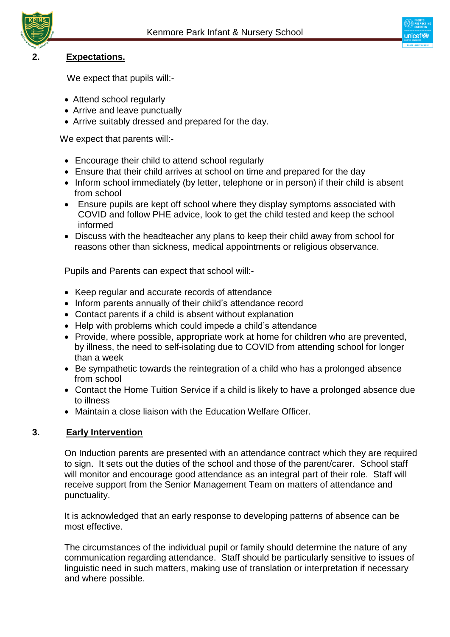

#### **2. Expectations.**

We expect that pupils will:-

- Attend school regularly
- Arrive and leave punctually
- Arrive suitably dressed and prepared for the day.

We expect that parents will:-

- Encourage their child to attend school regularly
- Ensure that their child arrives at school on time and prepared for the day
- Inform school immediately (by letter, telephone or in person) if their child is absent from school
- Ensure pupils are kept off school where they display symptoms associated with COVID and follow PHE advice, look to get the child tested and keep the school informed
- Discuss with the headteacher any plans to keep their child away from school for reasons other than sickness, medical appointments or religious observance.

Pupils and Parents can expect that school will:-

- Keep regular and accurate records of attendance
- Inform parents annually of their child's attendance record
- Contact parents if a child is absent without explanation
- Help with problems which could impede a child's attendance
- Provide, where possible, appropriate work at home for children who are prevented, by illness, the need to self-isolating due to COVID from attending school for longer than a week
- Be sympathetic towards the reintegration of a child who has a prolonged absence from school
- Contact the Home Tuition Service if a child is likely to have a prolonged absence due to illness
- Maintain a close liaison with the Education Welfare Officer.

#### **3. Early Intervention**

On Induction parents are presented with an attendance contract which they are required to sign. It sets out the duties of the school and those of the parent/carer. School staff will monitor and encourage good attendance as an integral part of their role. Staff will receive support from the Senior Management Team on matters of attendance and punctuality.

It is acknowledged that an early response to developing patterns of absence can be most effective.

The circumstances of the individual pupil or family should determine the nature of any communication regarding attendance. Staff should be particularly sensitive to issues of linguistic need in such matters, making use of translation or interpretation if necessary and where possible.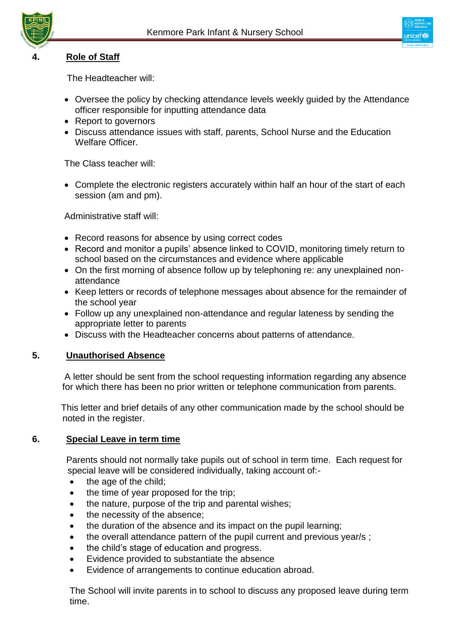



#### **4. Role of Staff**

The Headteacher will:

- Oversee the policy by checking attendance levels weekly guided by the Attendance officer responsible for inputting attendance data
- Report to governors
- Discuss attendance issues with staff, parents, School Nurse and the Education Welfare Officer.

The Class teacher will:

 Complete the electronic registers accurately within half an hour of the start of each session (am and pm).

Administrative staff will:

- Record reasons for absence by using correct codes
- Record and monitor a pupils' absence linked to COVID, monitoring timely return to school based on the circumstances and evidence where applicable
- On the first morning of absence follow up by telephoning re: any unexplained nonattendance
- Keep letters or records of telephone messages about absence for the remainder of the school year
- Follow up any unexplained non-attendance and regular lateness by sending the appropriate letter to parents
- Discuss with the Headteacher concerns about patterns of attendance.

#### **5. Unauthorised Absence**

 A letter should be sent from the school requesting information regarding any absence for which there has been no prior written or telephone communication from parents.

 This letter and brief details of any other communication made by the school should be noted in the register.

#### **6. Special Leave in term time**

 Parents should not normally take pupils out of school in term time. Each request for special leave will be considered individually, taking account of:-

- $\bullet$  the age of the child;
- the time of year proposed for the trip;
- the nature, purpose of the trip and parental wishes;
- the necessity of the absence;
- the duration of the absence and its impact on the pupil learning;
- the overall attendance pattern of the pupil current and previous year/s ;
- the child's stage of education and progress.
- Evidence provided to substantiate the absence
- Evidence of arrangements to continue education abroad.

The School will invite parents in to school to discuss any proposed leave during term time.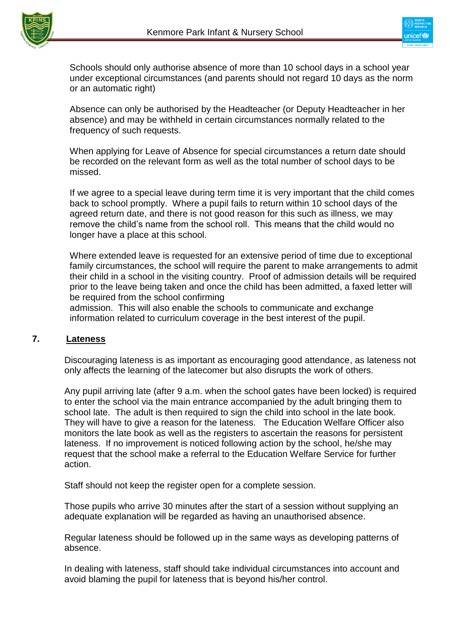



Schools should only authorise absence of more than 10 school days in a school year under exceptional circumstances (and parents should not regard 10 days as the norm or an automatic right)

Absence can only be authorised by the Headteacher (or Deputy Headteacher in her absence) and may be withheld in certain circumstances normally related to the frequency of such requests.

When applying for Leave of Absence for special circumstances a return date should be recorded on the relevant form as well as the total number of school days to be missed.

If we agree to a special leave during term time it is very important that the child comes back to school promptly. Where a pupil fails to return within 10 school days of the agreed return date, and there is not good reason for this such as illness, we may remove the child's name from the school roll. This means that the child would no longer have a place at this school.

Where extended leave is requested for an extensive period of time due to exceptional family circumstances, the school will require the parent to make arrangements to admit their child in a school in the visiting country. Proof of admission details will be required prior to the leave being taken and once the child has been admitted, a faxed letter will be required from the school confirming

admission. This will also enable the schools to communicate and exchange information related to curriculum coverage in the best interest of the pupil.

#### **7. Lateness**

Discouraging lateness is as important as encouraging good attendance, as lateness not only affects the learning of the latecomer but also disrupts the work of others.

Any pupil arriving late (after 9 a.m. when the school gates have been locked) is required to enter the school via the main entrance accompanied by the adult bringing them to school late. The adult is then required to sign the child into school in the late book. They will have to give a reason for the lateness. The Education Welfare Officer also monitors the late book as well as the registers to ascertain the reasons for persistent lateness. If no improvement is noticed following action by the school, he/she may request that the school make a referral to the Education Welfare Service for further action.

Staff should not keep the register open for a complete session.

Those pupils who arrive 30 minutes after the start of a session without supplying an adequate explanation will be regarded as having an unauthorised absence.

Regular lateness should be followed up in the same ways as developing patterns of absence.

In dealing with lateness, staff should take individual circumstances into account and avoid blaming the pupil for lateness that is beyond his/her control.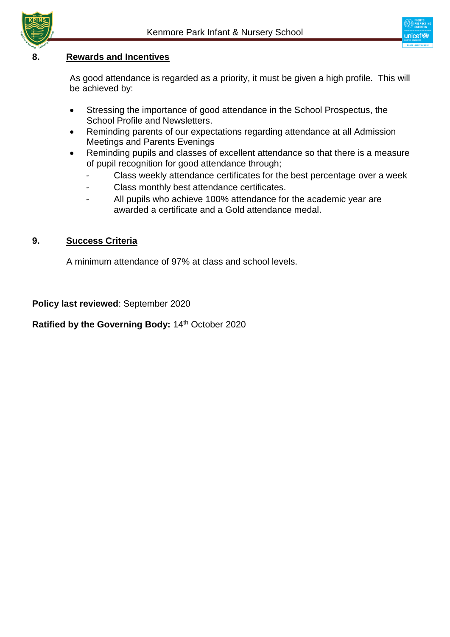

#### **8. Rewards and Incentives**

As good attendance is regarded as a priority, it must be given a high profile. This will be achieved by:

- Stressing the importance of good attendance in the School Prospectus, the School Profile and Newsletters.
- Reminding parents of our expectations regarding attendance at all Admission Meetings and Parents Evenings
- Reminding pupils and classes of excellent attendance so that there is a measure of pupil recognition for good attendance through;
	- Class weekly attendance certificates for the best percentage over a week
	- Class monthly best attendance certificates.
	- All pupils who achieve 100% attendance for the academic year are awarded a certificate and a Gold attendance medal.

#### **9. Success Criteria**

A minimum attendance of 97% at class and school levels.

**Policy last reviewed**: September 2020

Ratified by the Governing Body: 14<sup>th</sup> October 2020